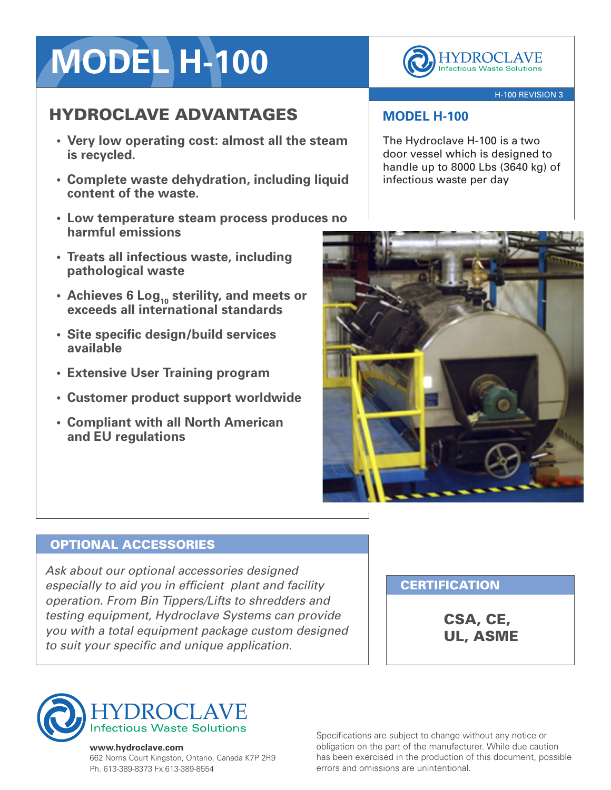# **MODEL H-100**

## HYDROCLAVE ADVANTAGES

- **• Very low operating cost: almost all the steam is recycled.**
- **• Complete waste dehydration, including liquid content of the waste.**
- **• Low temperature steam process produces no harmful emissions**
- **• Treats all infectious waste, including pathological waste**
- **• Achieves 6 Log<sup>10</sup> sterility, and meets or exceeds all international standards**
- **• Site specific design/build services available**
- **• Extensive User Training program**
- **• Customer product support worldwide**
- **• Compliant with all North American and EU regulations**



### H-100 REVISION 3

## **MODEL H-100**

The Hydroclave H-100 is a two door vessel which is designed to handle up to 8000 Lbs (3640 kg) of infectious waste per day



### OPTIONAL ACCESSORIES

*Ask about our optional accessories designed especially to aid you in efficient plant and facility operation. From Bin Tippers/Lifts to shredders and testing equipment, Hydroclave Systems can provide you with a total equipment package custom designed to suit your specific and unique application.*

## **CERTIFICATION**

CSA, CE, UL, ASME



#### **www.hydroclave.com**

662 Norris Court Kingston, Ontario, Canada K7P 2R9 Ph. 613-389-8373 Fx.613-389-8554

Specifications are subject to change without any notice or obligation on the part of the manufacturer. While due caution has been exercised in the production of this document, possible errors and omissions are unintentional.